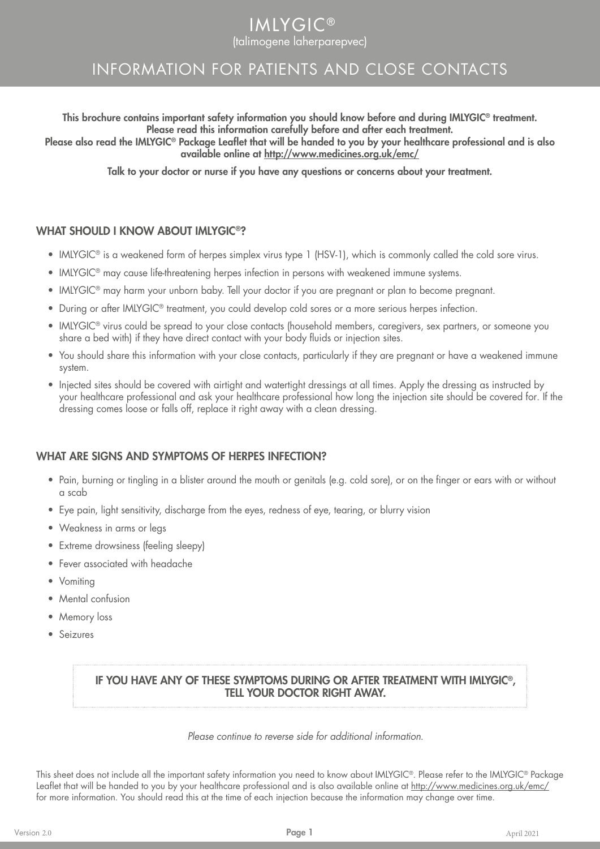# **IMLYGIC®** (talimogene laherparepvec)

# INFORMATION FOR PATIENTS AND CLOSE CONTACTS

This brochure contains important safety information you should know before and during IMLYGIC® treatment. Please read this information carefully before and after each treatment.

Please also read the IMLYGIC® Package Leaflet that will be handed to you by your healthcare professional and is also available online at http://www.medicines.org.uk/emc/

Talk to your doctor or nurse if you have any questions or concerns about your treatment.

### WHAT SHOULD I KNOW ABOUT IMLYGIC<sup>®</sup>?

- IMLYGIC<sup>®</sup> is a weakened form of herpes simplex virus type 1 (HSV-1), which is commonly called the cold sore virus.
- IMLYGIC® may cause life-threatening herpes infection in persons with weakened immune systems.
- IMLYGIC® may harm your unborn baby. Tell your doctor if you are pregnant or plan to become pregnant.
- During or after IMLYGIC® treatment, you could develop cold sores or a more serious herpes infection.
- IMLYGIC® virus could be spread to your close contacts (household members, caregivers, sex partners, or someone you share a bed with) if they have direct contact with your body fluids or injection sites.
- You should share this information with your close contacts, particularly if they are pregnant or have a weakened immune system.
- Injected sites should be covered with airtight and watertight dressings at all times. Apply the dressing as instructed by your healthcare professional and ask your healthcare professional how long the injection site should be covered for. If the dressing comes loose or falls off, replace it right away with a clean dressing.

#### WHAT ARE SIGNS AND SYMPTOMS OF HERPES INFECTION?

- Pain, burning or tingling in a blister around the mouth or genitals (e.g. cold sore), or on the finger or ears with or without a scab
- Eye pain, light sensitivity, discharge from the eyes, redness of eye, tearing, or blurry vision
- Weakness in arms or legs
- Extreme drowsiness (feeling sleepy)
- Fever associated with headache
- Vomiting
- Mental confusion
- Memory loss
- Seizures

#### IF YOU HAVE ANY OF THESE SYMPTOMS DURING OR AFTER TREATMENT WITH IMLYGIC®, TELL YOUR DOCTOR RIGHT AWAY.

*Please continue to reverse side for additional information.*

This sheet does not include all the important safety information you need to know about IMLYGIC®. Please refer to the IMLYGIC® Package Leaflet that will be handed to you by your healthcare professional and is also available online at http://www.medicines.org.uk/emc/ for more information. You should read this at the time of each injection because the information may change over time.